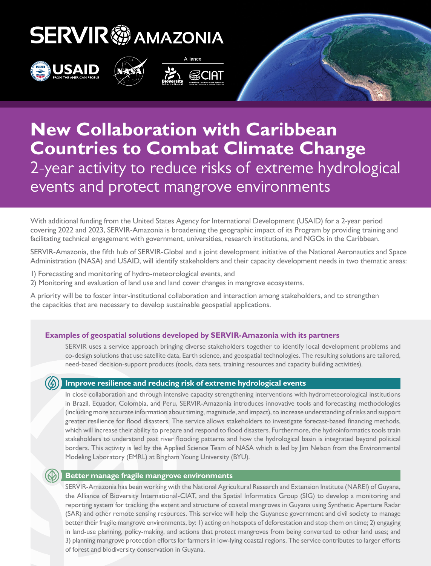# **SERVIR & AMAZONIA**









### **New Collaboration with Caribbean Countries to Combat Climate Change** 2-year activity to reduce risks of extreme hydrological events and protect mangrove environments

With additional funding from the United States Agency for International Development (USAID) for a 2-year period covering 2022 and 2023, SERVIR-Amazonia is broadening the geographic impact of its Program by providing training and facilitating technical engagement with government, universities, research institutions, and NGOs in the Caribbean.

SERVIR-Amazonia, the fifth hub of SERVIR-Global and a joint development initiative of the National Aeronautics and Space Administration (NASA) and USAID, will identify stakeholders and their capacity development needs in two thematic areas:

- 1) Forecasting and monitoring of hydro-meteorological events, and
- 2) Monitoring and evaluation of land use and land cover changes in mangrove ecosystems.

A priority will be to foster inter-institutional collaboration and interaction among stakeholders, and to strengthen the capacities that are necessary to develop sustainable geospatial applications.

### **Examples of geospatial solutions developed by SERVIR-Amazonia with its partners**

SERVIR uses a service approach bringing diverse stakeholders together to identify local development problems and co-design solutions that use satellite data, Earth science, and geospatial technologies. The resulting solutions are tailored, need-based decision-support products (tools, data sets, training resources and capacity building activities).

#### **Improve resilience and reducing risk of extreme hydrological events**

In close collaboration and through intensive capacity strengthening interventions with hydrometeorological institutions in Brazil, Ecuador, Colombia, and Peru, SERVIR-Amazonia introduces innovative tools and forecasting methodologies (including more accurate information about timing, magnitude, and impact), to increase understanding of risks and support greater resilience for flood disasters. The service allows stakeholders to investigate forecast-based financing methods, which will increase their ability to prepare and respond to flood disasters. Furthermore, the hydroinformatics tools train stakeholders to understand past river flooding patterns and how the hydrological basin is integrated beyond political borders. This activity is led by the Applied Science Team of NASA which is led by Jim Nelson from the Environmental Modeling Laboratory (EMRL) at Brigham Young University (BYU).

#### **Better manage fragile mangrove environments**

SERVIR-Amazonia has been working with the National Agricultural Research and Extension Institute (NAREI) of Guyana, the Alliance of Bioversity International-CIAT, and the Spatial Informatics Group (SIG) to develop a monitoring and reporting system for tracking the extent and structure of coastal mangroves in Guyana using Synthetic Aperture Radar (SAR) and other remote sensing resources. This service will help the Guyanese government and civil society to manage better their fragile mangrove environments, by: 1) acting on hotspots of deforestation and stop them on time; 2) engaging in land-use planning, policy-making, and actions that protect mangroves from being converted to other land uses; and 3) planning mangrove protection efforts for farmers in low-lying coastal regions. The service contributes to larger efforts of forest and biodiversity conservation in Guyana.